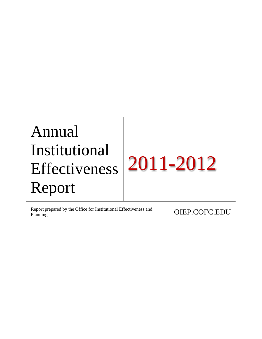Report prepared by the Office for Institutional Effectiveness and **OIEP.COFC.EDU**<br>Planning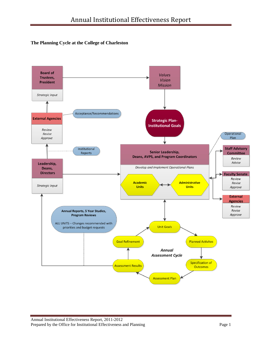## **The Planning Cycle at the College of Charleston**

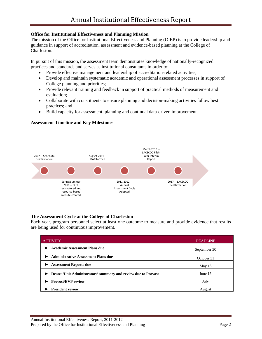#### **Office for Institutional Effectiveness and Planning Mission**

The mission of the Office for Institutional Effectiveness and Planning (OIEP) is to provide leadership and guidance in support of accreditation, assessment and evidence-based planning at the College of Charleston.

In pursuit of this mission, the assessment team demonstrates knowledge of nationally-recognized practices and standards and serves as institutional consultants in order to:

- Provide effective management and leadership of accreditation-related activities;
- Develop and maintain systematic academic and operational assessment processes in support of College planning and priorities;
- Provide relevant training and feedback in support of practical methods of measurement and evaluation;
- Collaborate with constituents to ensure planning and decision-making activities follow best practices; and
- Build capacity for assessment, planning and continual data-driven improvement.

#### **Assessment Timeline and Key Milestones**



## **The Assessment Cycle at the College of Charleston**

Each year, program personnel select at least one outcome to measure and provide evidence that results are being used for continuous improvement.

| <b>ACTIVITY</b>                                               | <b>DEADLINE</b> |
|---------------------------------------------------------------|-----------------|
| <b>Academic Assessment Plans due</b>                          | September 30    |
| <b>Administrative Assessment Plans due</b>                    | October 31      |
| <b>Assessment Reports due</b>                                 | May 15          |
| Deans'/Unit Administrators' summary and review due to Provost | June 15         |
| <b>Provost/EVP review</b>                                     | July            |
| <b>President review</b>                                       | August          |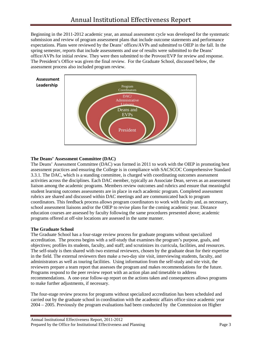Beginning in the 2011-2012 academic year, an annual assessment cycle was developed for the systematic submission and review of program assessment plans that include outcome statements and performance expectations. Plans were reviewed by the Deans' offices/AVPs and submitted to OIEP in the fall. In the spring semester, reports that include assessments and use of results were submitted to the Deans' office/AVPs for initial review. They were then submitted to the Provost/EVP for review and response. The President's Office was given the final review. For the Graduate School, discussed below, the assessment process also included program review.



## **The Deans' Assessment Committee (DAC)**

The Deans' Assessment Committee (DAC) was formed in 2011 to work with the OIEP in promoting best assessment practices and ensuring the College is in compliance with SACSCOC Comprehensive Standard 3.3.1. The DAC, which is a standing committee, is charged with coordinating outcomes assessment activities across the disciplines. Each DAC member, typically an Associate Dean, serves as an assessment liaison among the academic programs. Members review outcomes and rubrics and ensure that meaningful student learning outcomes assessments are in place in each academic program. Completed assessment rubrics are shared and discussed within DAC meetings and are communicated back to program coordinators. This feedback process allows program coordinators to work with faculty and, as necessary, school assessment liaisons and/or the OIEP to revise plans for the coming academic year. Distance education courses are assessed by faculty following the same procedures presented above; academic programs offered at off-site locations are assessed in the same manner.

## **The Graduate School**

The Graduate School has a four-stage review process for graduate programs without specialized accreditation. The process begins with a self-study that examines the program's purpose, goals, and objectives; profiles its students, faculty, and staff; and scrutinizes its curricula, facilities, and resources. The self-study is then shared with two external reviewers, chosen by the graduate dean for their expertise in the field. The external reviewers then make a two-day site visit, interviewing students, faculty, and administrators as well as touring facilities. Using information from the self-study and site visit, the reviewers prepare a team report that assesses the program and makes recommendations for the future. Programs respond to the peer review report with an action plan and timetable to address recommendations. A one-year follow-up report on the actions taken and consequences allows programs to make further adjustments, if necessary.

The four-stage review process for programs without specialized accreditation has been scheduled and carried out by the graduate school in coordination with the academic affairs office since academic year 2004 – 2005. Previously the program evaluations had been conducted by the Commission on Higher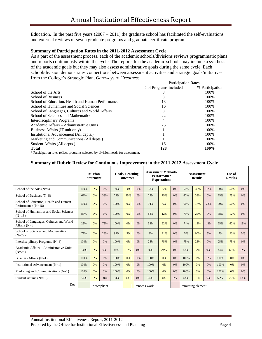Education. In the past five years  $(2007 – 2011)$  the graduate school has facilitated the self-evaluations and external reviews of seven graduate programs and graduate certificate programs.

#### **Summary of Participation Rates in the 2011-2012 Assessment Cycle**

As a part of the assessment process, each of the academic schools/divisions reviews programmatic plans and reports continuously within the cycle. The reports for the academic schools may include a synthesis of the academic goals but they may also assess administrative goals during the same cycle. Each school/division demonstrates connections between assessment activities and strategic goals/initiatives from the College's Strategic Plan, *Gateways to Greatness*.

|                                                                                   | <b>Participation Rates</b> |                 |
|-----------------------------------------------------------------------------------|----------------------------|-----------------|
|                                                                                   | # of Programs Included     | % Participation |
| School of the Arts                                                                | δ                          | 100%            |
| <b>School of Business</b>                                                         | 8                          | 100%            |
| School of Education, Health and Human Performance                                 | 18                         | 100%            |
| School of Humanities and Social Sciences                                          | 16                         | 100%            |
| School of Languages, Cultures and World Affairs                                   | 8                          | 100%            |
| School of Sciences and Mathematics                                                | 22                         | 100%            |
| <b>Interdisciplinary Programs</b>                                                 | 4                          | 100%            |
| Academic Affairs – Administrative Units                                           | 25                         | 100%            |
| Business Affairs (IT unit only)                                                   |                            | 100%            |
| Institutional Advancement (All depts.)                                            |                            | 100%            |
| Marketing and Communications (All depts.)                                         |                            | 100%            |
| Student Affairs (All depts.)                                                      | 16                         | 100%            |
| <b>Total</b>                                                                      | 128                        | 100%            |
| * Participation rates reflect programs selected by division heads for assessment. |                            |                 |

**Summary of Rubric Review for Continuous Improvement in the 2011-2012 Assessment Cycle**

|                                                               |      | <b>Mission</b><br><b>Statement</b> |               |      |     | <b>Goals/Learning</b><br><b>Outcomes</b> |                | <b>Assessment Methods/</b><br><b>Performance</b><br><b>Expectations</b> |    |      | Assessment<br><b>Results</b> |     |      | Use of<br><b>Results</b> |     |  |
|---------------------------------------------------------------|------|------------------------------------|---------------|------|-----|------------------------------------------|----------------|-------------------------------------------------------------------------|----|------|------------------------------|-----|------|--------------------------|-----|--|
| School of the Arts $(N=8)$                                    | 100% | 0%                                 | 0%            | 50%  | 50% | 0%                                       | 38%            | 62%                                                                     | 0% | 50%  | 38%                          | 12% | 50%  | 50%                      | 0%  |  |
| School of Business (N=8)                                      | 62%  | 0%                                 | 38%           | 75%  | 25% | 0%                                       | 25%            | 75%                                                                     | 0% | 62%  | 38%                          | 0%  | 25%  | 75%                      | 0%  |  |
| School of Education, Health and Human<br>Performance $(N=18)$ | 100% | 0%                                 | 0%            | 100% | 0%  | 0%                                       | 94%            | 6%                                                                      | 0% | 61%  | 17%                          | 22% | 50%  | 50%                      | 0%  |  |
| School of Humanities and Social Sciences<br>$(N=16)$          | 88%  | 6%                                 | 6%            | 100% | 0%  | 0%                                       | 88%            | 12%                                                                     | 0% | 75%  | 25%                          | 0%  | 88%  | 12%                      | 0%  |  |
| School of Languages, Cultures and World<br>Affairs $(N=8)$    | 25%  | 0%                                 | 75%           | 100% | 0%  | 0%                                       | 38%            | 62%                                                                     | 0% | 74%  | 13%                          | 13% | 25%  | 62%                      | 13% |  |
| School of Sciences and Mathematics<br>$(N=22)$                | 77%  | 0%                                 | 23%           | 95%  | 5%  | 0%                                       | 9%             | 91%                                                                     | 0% | 5%   | 90%                          | 5%  | 5%   | 90%                      | 5%  |  |
| Interdisciplinary Programs (N=4)                              | 100% | 0%                                 | 0%            | 100% | 0%  | 0%                                       | 25%            | 75%                                                                     | 0% | 75%  | 25%                          | 0%  | 25%  | 75%                      | 0%  |  |
| Academic Affairs - Administrative Units<br>$(N=25)$           | 100% | 0%                                 | 0%            | 84%  | 16% | 0%                                       | 76%            | 24%                                                                     | 0% | 48%  | 52%                          | 0%  | 44%  | 66%                      | 0%  |  |
| Business Affairs $(N=1)$                                      | 100% | 0%                                 | 0%            | 100% | 0%  | 0%                                       | 100%           | 0%                                                                      | 0% | 100% | 0%                           | 0%  | 100% | 0%                       | 0%  |  |
| Institutional Advancement $(N=1)$                             | 100% | 0%                                 | 0%            | 100% | 0%  | 0%                                       | 100%           | 0%                                                                      | 0% | 100% | 0%                           | 0%  | 100% | 0%                       | 0%  |  |
| Marketing and Communications $(N=1)$                          | 100% | 0%                                 | 0%            | 100% | 0%  | 0%                                       | 100%           | 0%                                                                      | 0% | 100% | 0%                           | 0%  | 100% | 0%                       | 0%  |  |
| Student Affairs $(N=16)$                                      | 94%  | 6%                                 | 0%            | 94%  | 6%  | 0%                                       | 94%            | 6%                                                                      | 0% | 63%  | 31%                          | 6%  | 62%  | 25%                      | 13% |  |
| Key                                                           |      |                                    | $=$ compliant |      |     |                                          | $=$ needs work |                                                                         |    |      | $=$ missing element          |     |      |                          |     |  |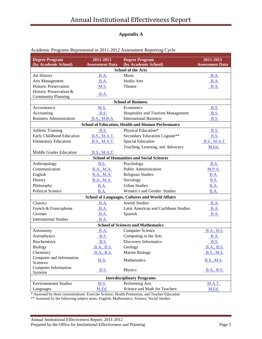# **Appendix A**

| <b>Degree Program</b><br>(by Academic School) | 2011-2013              | <b>Degree Program</b>                                    | 2011-2013              |
|-----------------------------------------------|------------------------|----------------------------------------------------------|------------------------|
|                                               | <b>Assessment Data</b> | (by Academic School)<br><b>School of the Arts</b>        | <b>Assessment Data</b> |
| Art History                                   | <b>B.A.</b>            | Music                                                    | <b>B.A.</b>            |
| Arts Management                               | B.A.                   | Studio Arts                                              | B.A.                   |
| <b>Historic Preservation</b>                  | M.S.                   | Theatre                                                  | <b>B.A.</b>            |
| Historic Preservation &                       |                        |                                                          |                        |
| <b>Community Planning</b>                     | B.A.                   |                                                          |                        |
|                                               |                        | <b>School of Business</b>                                |                        |
| Accountancy                                   | M.S.                   | Economics                                                | <b>B.S.</b>            |
| Accounting                                    | <b>B.S.</b>            | Hospitality and Tourism Management                       | B.S.                   |
| <b>Business Administration</b>                | <b>B.S., M.B.A.</b>    | <b>International Business</b>                            | <b>B.S.</b>            |
|                                               |                        | <b>School of Education, Health and Human Performance</b> |                        |
| <b>Athletic Training</b>                      | <b>B.S.</b>            | Physical Education*                                      | <b>B.S.</b>            |
| Early Childhood Education                     | <b>B.S., M.A.T.</b>    | Secondary Education Cognate**                            | B.S.                   |
| <b>Elementary Education</b>                   | <b>B.S., M.A.T.</b>    | <b>Special Education</b>                                 | <b>B.S., M.A.T.</b>    |
|                                               |                        | Teaching, Learning, and Advocacy                         | M.Ed.                  |
| Middle Grades Education                       | <b>B.S., M.A.T.</b>    |                                                          |                        |
|                                               |                        | <b>School of Humanities and Social Sciences</b>          |                        |
| Anthropology                                  | <b>B.S.</b>            | Psychology                                               | <b>B.S.</b>            |
| Communication                                 | <b>B.A., M.A.</b>      | Public Administration                                    | <b>M.P.A.</b>          |
| English                                       | <b>B.A., M.A.</b>      | <b>Religious Studies</b>                                 | <b>B.A.</b>            |
| History                                       | <b>B.A., M.A.</b>      | Sociology                                                | <b>B.S.</b>            |
| Philosophy                                    | B.A.                   | <b>Urban Studies</b>                                     | <b>B.A.</b>            |
| <b>Political Science</b>                      | B.A.                   | Women's and Gender Studies                               | B.A.                   |
|                                               |                        | <b>School of Languages, Cultures and World Affairs</b>   |                        |
| Classics                                      | <b>B.A.</b>            | <b>Jewish Studies</b>                                    | B.A.                   |
| French & Francophone                          | <b>B.A.</b>            | Latin American and Caribbean Studies                     | <b>B.A.</b>            |
| German                                        | <b>B.A.</b>            | Spanish                                                  | <b>B.A.</b>            |
| <b>International Studies</b>                  | B.A.                   |                                                          |                        |
|                                               |                        | <b>School of Sciences and Mathematics</b>                |                        |
| Astronomy                                     | B.A.                   | <b>Computer Science</b>                                  | <b>B.A., B.S.</b>      |
| Astrophysics                                  | B.S.                   | Computing in the Arts                                    | <b>B.A.</b>            |
| Biochemistry                                  | <b>B.S.</b>            | Discovery Informatics                                    | <b>B.S.</b>            |
| <b>Biology</b>                                | <u>B.A., B.S.</u>      | Geology                                                  | <b>B.A., B.S.</b>      |
| Chemistry                                     | <b>B.A., B.S.</b>      | Marine Biology                                           | B.S., M.S.             |
| Computer and Information<br>Sciences          | <b>M.S.</b>            | Mathematics                                              | <b>B.S., M.S.</b>      |
| <b>Computer Information</b><br>Systems        | <b>B.S.</b>            | Physics                                                  | <b>B.A., B.S.</b>      |
|                                               |                        | <b>Interdisciplinary Programs</b>                        |                        |
| <b>Environmental Studies</b>                  | M.S.                   | Performing Arts                                          | <b>M.A.T.</b>          |
| Languages                                     | M.Ed.                  | Science and Math for Teachers                            | M.Ed.                  |

## Academic Programs Represented in 2011-2012 Assessment Reporting Cycle

\* Assessed by three concentrations: Exercise Science, Health Promotion, and Teacher Education

\*\* Assessed by the following subject areas: English, Mathematics, Science, Social Studies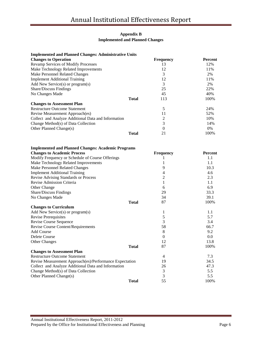## **Appendix B Implemented and Planned Changes**

| <b>Changes to Operation</b>                         |              | <b>Frequency</b> | <b>Percent</b> |
|-----------------------------------------------------|--------------|------------------|----------------|
| <b>Revamp Services of Modify Processes</b>          |              | 13               | 12%            |
| Make Technology Related Improvements                |              | 12               | 11%            |
| Make Personnel Related Changes                      |              | 3                | 2%             |
| <b>Implement Additional Training</b>                |              | 12               | 11%            |
| Add New Service(s) or program(s)                    |              | 3                | 2%             |
| <b>Share/Discuss Findings</b>                       |              | 25               | 22%            |
| No Changes Made                                     |              | 45               | 40%            |
|                                                     | <b>Total</b> | 113              | 100%           |
| <b>Changes to Assessment Plan</b>                   |              |                  |                |
| <b>Restructure Outcome Statement</b>                |              | 5                | 24%            |
| Revise Measurement Approach(es)                     |              | 11               | 52%            |
| Collect and Analyze Additional Data and Information |              | 2                | 10%            |
| Change Method(s) of Data Collection                 |              | 3                | 14%            |
| Other Planned Change(s)                             |              | 0                | $0\%$          |
|                                                     | <b>Total</b> | 21               | 100%           |

| <b>Implemented and Planned Changes: Academic Programs</b> |              |                  |                |
|-----------------------------------------------------------|--------------|------------------|----------------|
| <b>Changes to Academic Process</b>                        |              | <b>Frequency</b> | <b>Percent</b> |
| Modify Frequency or Schedule of Course Offerings          |              |                  | 1.1            |
| Make Technology Related Improvements                      |              |                  | 1.1            |
| Make Personnel Related Changes                            |              | 9                | 10.3           |
| <b>Implement Additional Training</b>                      |              | 4                | 4.6            |
| Revise Advising Standards or Process                      |              | 2                | 2.3            |
| Revise Admission Criteria                                 |              | 1                | 1.1            |
| Other Change                                              |              | 6                | 6.9            |
| Share/Discuss Findings                                    |              | 29               | 33.3           |
| No Changes Made                                           |              | 34               | 39.1           |
|                                                           | <b>Total</b> | 87               | 100%           |
| <b>Changes to Curriculum</b>                              |              |                  |                |
| Add New Service(s) or program(s)                          |              | 1                | 1.1            |
| Revise Prerequisites                                      |              | 5                | 5.7            |
| Revise Course Sequence                                    |              | 3                | 3.4            |
| Revise Course Content/Requirements                        |              | 58               | 66.7           |
| Add Course                                                |              | 8                | 9.2            |
| Delete Course                                             |              | $\Omega$         | 0.0            |
| <b>Other Changes</b>                                      |              | 12               | 13.8           |
|                                                           | <b>Total</b> | 87               | 100%           |
| <b>Changes to Assessment Plan</b>                         |              |                  |                |
| <b>Restructure Outcome Statement</b>                      |              | $\overline{4}$   | 7.3            |
| Revise Measurement Approach(es)/Performance Expectation   |              | 19               | 34.5           |
| Collect and Analyze Additional Data and Information       |              | 26               | 47.3           |
| Change Method(s) of Data Collection                       |              | 3                | 5.5            |
| Other Planned Change(s)                                   |              | $\overline{3}$   | 5.5            |
|                                                           | <b>Total</b> | 55               | 100%           |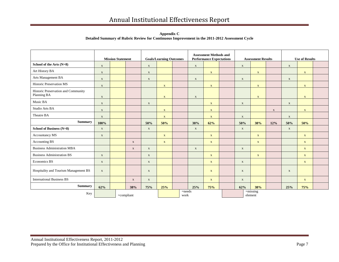**Appendix C Detailed Summary of Rubric Review for Continuous Improvement in the 2011-2012 Assessment Cycle**

|                                                    |               | <b>Mission Statement</b> |              |             | <b>Goals/Learning Outcomes</b> |                   |             | <b>Assessment Methods and</b><br><b>Performance Expectations</b> |  |             | <b>Assessment Results</b> |              | <b>Use of Results</b> |              |  |  |
|----------------------------------------------------|---------------|--------------------------|--------------|-------------|--------------------------------|-------------------|-------------|------------------------------------------------------------------|--|-------------|---------------------------|--------------|-----------------------|--------------|--|--|
| School of the Arts (N=8)                           | $\mathbf X$   |                          |              | $\mathbf X$ |                                |                   | $\mathbf X$ |                                                                  |  | $\mathbf X$ |                           |              | $\mathbf X$           |              |  |  |
| Art History BA                                     | $\mathbf X$   |                          |              | $\mathbf X$ |                                |                   |             | $\mathbf X$                                                      |  |             | $\mathbf X$               |              |                       | $\mathbf X$  |  |  |
| Arts Management BA                                 | $\mathbf X$   |                          |              | $\mathbf X$ |                                |                   | $\mathbf X$ |                                                                  |  | $\mathbf X$ |                           |              | $\mathbf{X}$          |              |  |  |
| <b>Historic Preservation MS</b>                    | $\mathbf X$   |                          |              |             | $\mathbf X$                    |                   |             | $\mathbf{X}$                                                     |  |             | $\mathbf{X}$              |              |                       | $\mathbf X$  |  |  |
| Historic Preservation and Community<br>Planning BA | $\mathbf X$   |                          |              |             | $\mathbf X$                    |                   | $\mathbf X$ |                                                                  |  |             | $\mathbf{X}$              |              |                       | $\mathbf X$  |  |  |
| Music BA                                           | $\mathbf X$   |                          |              | $\mathbf X$ |                                |                   |             | $\mathbf X$                                                      |  | $\mathbf X$ |                           |              | $\mathbf X$           |              |  |  |
| Studio Arts BA                                     | $\mathbf{X}$  |                          |              |             | $\mathbf X$                    |                   |             | $\mathbf{X}$                                                     |  |             |                           | $\mathbf{X}$ |                       | $\mathbf{X}$ |  |  |
| Theatre BA                                         | $\mathbf X$   |                          |              |             | $\mathbf X$                    |                   |             | $\mathbf{X}$                                                     |  | $\mathbf X$ |                           |              | $\mathbf{X}$          |              |  |  |
| <b>Summary</b>                                     | 100%          |                          |              | 50%         | 50%                            |                   | 38%         | 62%                                                              |  | 50%         | 38%                       | 12%          | 50%                   | 50%          |  |  |
| School of Business (N=8)                           | $\mathbf X$   |                          |              | $\mathbf X$ |                                |                   | $\mathbf X$ |                                                                  |  | $\mathbf X$ |                           |              | $\mathbf{X}$          |              |  |  |
| Accountancy MS                                     | $\mathbf X$   |                          |              |             | $\mathbf X$                    |                   |             | $\mathbf X$                                                      |  |             | $\mathbf X$               |              |                       | $\mathbf{X}$ |  |  |
| Accounting BS                                      |               |                          | $\mathbf{X}$ |             | $\mathbf X$                    |                   |             | $\mathbf{X}$                                                     |  |             | $\mathbf{X}$              |              |                       | $\mathbf{X}$ |  |  |
| <b>Business Administration MBA</b>                 |               |                          | $\mathbf X$  | $\mathbf X$ |                                |                   | $\mathbf X$ |                                                                  |  | $\mathbf X$ |                           |              |                       | $\mathbf{X}$ |  |  |
| <b>Business Administration BS</b>                  | $\mathbf X$   |                          |              | $\mathbf X$ |                                |                   |             | $\mathbf{X}$                                                     |  |             | $\mathbf{X}$              |              |                       | $\mathbf{X}$ |  |  |
| Economics BS                                       | $\mathbf{X}$  |                          |              | $\mathbf X$ |                                |                   |             | $\mathbf{X}$                                                     |  | $\mathbf X$ |                           |              |                       | $\mathbf{X}$ |  |  |
| Hospitality and Tourism Management BS              | $\mathbf X$   |                          |              | $\mathbf X$ |                                |                   |             | $\mathbf{X}$                                                     |  | $\mathbf X$ |                           |              | $\mathbf{X}$          |              |  |  |
| <b>International Business BS</b>                   |               |                          | $\mathbf X$  | $\mathbf X$ |                                |                   |             | $\mathbf{X}$                                                     |  | $\mathbf X$ |                           |              |                       | $\mathbf{X}$ |  |  |
| <b>Summary</b>                                     | 62%           |                          | 38%          | 75%         | 25%                            |                   | 25%         | 75%                                                              |  | 62%         | 38%                       |              | 25%                   | 75%          |  |  |
| Key                                                | $=$ compliant |                          |              |             |                                | $=$ needs<br>work |             |                                                                  |  |             | $=$ missing<br>element    |              |                       |              |  |  |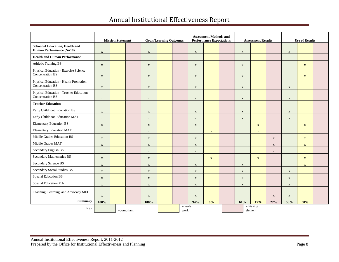|                                                                    |              | <b>Mission Statement</b> |               |                           | <b>Goals/Learning Outcomes</b> |  |              | <b>Assessment Methods and</b><br><b>Performance Expectations</b> |                        |              | <b>Assessment Results</b> |              | <b>Use of Results</b> |                           |  |
|--------------------------------------------------------------------|--------------|--------------------------|---------------|---------------------------|--------------------------------|--|--------------|------------------------------------------------------------------|------------------------|--------------|---------------------------|--------------|-----------------------|---------------------------|--|
| <b>School of Education, Health and</b><br>Human Performance (N=18) | $\mathbf X$  |                          |               | $\mathbf X$               |                                |  | $\mathbf X$  |                                                                  |                        | $\mathbf X$  |                           |              | $\mathbf X$           |                           |  |
| <b>Health and Human Performance</b>                                |              |                          |               |                           |                                |  |              |                                                                  |                        |              |                           |              |                       |                           |  |
| Athletic Training BS                                               | $\mathbf{x}$ |                          |               | $\boldsymbol{\mathrm{X}}$ |                                |  | $\mathbf X$  |                                                                  |                        | $\mathbf X$  |                           |              |                       | $\mathbf{X}$              |  |
| Physical Education - Exercise Science<br><b>Concentration BS</b>   | $\mathbf X$  |                          |               | $\boldsymbol{\mathrm{X}}$ |                                |  | $\mathbf X$  |                                                                  |                        | $\mathbf X$  |                           |              |                       | $\mathbf{x}$              |  |
| Physical Education - Health Promotion<br><b>Concentration BS</b>   | $\mathbf X$  |                          |               | $\mathbf X$               |                                |  | $\mathbf{X}$ |                                                                  |                        | $\mathbf{X}$ |                           |              | $\mathbf X$           |                           |  |
| Physical Education - Teacher Education<br><b>Concentration BS</b>  | $\mathbf X$  |                          |               | $\boldsymbol{\mathrm{X}}$ |                                |  | $\mathbf X$  |                                                                  |                        | $\mathbf X$  |                           |              | $\mathbf{X}$          |                           |  |
| <b>Teacher Education</b>                                           |              |                          |               |                           |                                |  |              |                                                                  |                        |              |                           |              |                       |                           |  |
| Early Childhood Education BS                                       | $\mathbf X$  |                          |               | $\mathbf X$               |                                |  | $\mathbf X$  |                                                                  |                        | $\mathbf X$  |                           |              | $\mathbf X$           |                           |  |
| Early Childhood Education MAT                                      | $\mathbf X$  |                          |               | $\mathbf X$               |                                |  | $\mathbf X$  |                                                                  |                        | $\mathbf X$  |                           |              | $\mathbf X$           |                           |  |
| <b>Elementary Education BS</b>                                     | $\mathbf{X}$ |                          |               | $\mathbf X$               |                                |  | $\mathbf X$  |                                                                  |                        |              | $\mathbf X$               |              |                       | $\boldsymbol{\mathrm{X}}$ |  |
| <b>Elementary Education MAT</b>                                    | $\mathbf X$  |                          |               | $\mathbf X$               |                                |  |              | $\mathbf X$                                                      |                        |              | $\mathbf X$               |              |                       | $\mathbf{X}$              |  |
| Middle Grades Education BS                                         | $\mathbf X$  |                          |               | $\mathbf X$               |                                |  | $\mathbf{X}$ |                                                                  |                        |              |                           | $\mathbf X$  |                       | $\mathbf{X}$              |  |
| Middle Grades MAT                                                  | $\mathbf X$  |                          |               | $\mathbf X$               |                                |  | $\mathbf X$  |                                                                  |                        |              |                           | $\mathbf X$  |                       | $\mathbf X$               |  |
| Secondary English BS                                               | $\mathbf X$  |                          |               | $\mathbf X$               |                                |  | $\mathbf X$  |                                                                  |                        |              |                           | $\mathbf{X}$ |                       | $\mathbf{X}$              |  |
| Secondary Mathematics BS                                           | $\mathbf X$  |                          |               | $\mathbf X$               |                                |  |              | $\mathbf{X}$                                                     |                        |              | $\mathbf{X}$              |              |                       | $\mathbf X$               |  |
| Secondary Science BS                                               | $\mathbf X$  |                          |               | $\mathbf X$               |                                |  | $\mathbf X$  |                                                                  |                        | $\mathbf X$  |                           |              |                       | $\mathbf X$               |  |
| Secondary Social Studies BS                                        | $\mathbf{X}$ |                          |               | $\mathbf X$               |                                |  | $\mathbf X$  |                                                                  |                        | $\mathbf X$  |                           |              | $\mathbf X$           |                           |  |
| Special Education BS                                               | $\mathbf X$  |                          |               | $\mathbf{X}$              |                                |  | $\mathbf X$  |                                                                  |                        | $\mathbf X$  |                           |              | $\mathbf X$           |                           |  |
| <b>Special Education MAT</b>                                       | $\mathbf{X}$ |                          |               | $\mathbf X$               |                                |  | $\mathbf X$  |                                                                  |                        | $\mathbf{X}$ |                           |              | $\mathbf{X}$          |                           |  |
| Teaching, Learning, and Advocacy MED                               | $\mathbf X$  |                          |               | $\boldsymbol{\mathrm{X}}$ |                                |  | $\mathbf X$  |                                                                  |                        |              |                           | $\mathbf{X}$ | $\mathbf X$           |                           |  |
| <b>Summary</b>                                                     | 100%         |                          |               | 100%                      |                                |  | 94%          | 6%                                                               |                        | 61%          | 17%                       | 22%          | 50%                   | 50%                       |  |
| Key                                                                |              |                          | $=$ compliant | $=$ needs<br>work         |                                |  |              |                                                                  | $=$ missing<br>element |              |                           |              |                       |                           |  |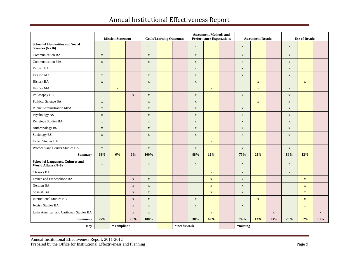|                                                                 |             | <b>Mission Statement</b> |             | <b>Goals/Learning Outcomes</b> |  |                | <b>Assessment Methods and</b><br><b>Performance Expectations</b> |              |  |             | <b>Assessment Results</b> |             | <b>Use of Results</b> |             |             |  |
|-----------------------------------------------------------------|-------------|--------------------------|-------------|--------------------------------|--|----------------|------------------------------------------------------------------|--------------|--|-------------|---------------------------|-------------|-----------------------|-------------|-------------|--|
| <b>School of Humanities and Social</b><br>Sciences (N=16)       | $\mathbf X$ |                          |             | $\mathbf X$                    |  |                | $\mathbf X$                                                      |              |  | $\mathbf X$ |                           |             | $\mathbf X$           |             |             |  |
| <b>Communication BA</b>                                         | $\mathbf X$ |                          |             | $\mathbf X$                    |  |                | $\mathbf X$                                                      |              |  | $\mathbf X$ |                           |             | $\mathbf X$           |             |             |  |
| Communication MA                                                | $\mathbf X$ |                          |             | $\mathbf X$                    |  |                | $\mathbf X$                                                      |              |  | $\mathbf X$ |                           |             | $\mathbf X$           |             |             |  |
| English BA                                                      | $\mathbf X$ |                          |             | $\mathbf X$                    |  |                | $\mathbf X$                                                      |              |  | $\mathbf X$ |                           |             | $\mathbf X$           |             |             |  |
| English MA                                                      | $\mathbf X$ |                          |             | $\mathbf X$                    |  |                | $\mathbf X$                                                      |              |  | $\mathbf X$ |                           |             | $\mathbf X$           |             |             |  |
| <b>History BA</b>                                               | $\mathbf X$ |                          |             | $\mathbf X$                    |  |                | $\mathbf X$                                                      |              |  |             | $\mathbf X$               |             |                       | $\mathbf X$ |             |  |
| History MA                                                      |             | $\mathbf X$              |             | $\mathbf X$                    |  |                |                                                                  | $\mathbf{X}$ |  |             | $\mathbf X$               |             | $\mathbf X$           |             |             |  |
| Philosophy BA                                                   |             |                          | $\mathbf X$ | $\mathbf X$                    |  |                | $\mathbf X$                                                      |              |  | $\mathbf X$ |                           |             | $\mathbf X$           |             |             |  |
| Political Science BA                                            | $\mathbf X$ |                          |             | $\mathbf X$                    |  |                | $\mathbf X$                                                      |              |  |             | $\mathbf X$               |             | $\mathbf X$           |             |             |  |
| Public Administration MPA                                       | $\mathbf X$ |                          |             | $\mathbf X$                    |  |                | $\mathbf X$                                                      |              |  | $\mathbf X$ |                           |             | $\mathbf X$           |             |             |  |
| Psychology BS                                                   | $\mathbf X$ |                          |             | $\mathbf X$                    |  |                | $\mathbf X$                                                      |              |  | $\mathbf X$ |                           |             | $\mathbf X$           |             |             |  |
| Religious Studies BA                                            | $\mathbf X$ |                          |             | $\mathbf X$                    |  |                | $\mathbf X$                                                      |              |  | $\mathbf X$ |                           |             | $\mathbf X$           |             |             |  |
| Anthropology BS                                                 | $\mathbf X$ |                          |             | $\mathbf X$                    |  |                | $\mathbf X$                                                      |              |  | $\mathbf X$ |                           |             | $\mathbf X$           |             |             |  |
| Sociology BS                                                    | $\mathbf X$ |                          |             | $\mathbf X$                    |  |                | $\mathbf X$                                                      |              |  | $\mathbf X$ |                           |             | $\mathbf X$           |             |             |  |
| <b>Urban Studies BA</b>                                         | $\mathbf X$ |                          |             | $\mathbf X$                    |  |                |                                                                  | $\mathbf X$  |  |             | $\mathbf X$               |             |                       | $\mathbf X$ |             |  |
| Women's and Gender Studies BA                                   | $\mathbf X$ |                          |             | $\mathbf X$                    |  |                | $\mathbf X$                                                      |              |  | $\mathbf X$ |                           |             | $\mathbf X$           |             |             |  |
| <b>Summary</b>                                                  | 88%         | 6%                       | 6%          | 100%                           |  |                | 88%                                                              | 12%          |  | 75%         | 25%                       |             | 88%                   | 12%         |             |  |
| School of Languages, Cultures and<br><b>World Affairs (N=8)</b> | $\mathbf X$ |                          |             | $\mathbf X$                    |  |                | $\mathbf X$                                                      |              |  | $\mathbf X$ |                           |             | $\mathbf X$           |             |             |  |
| <b>Classics BA</b>                                              | $\mathbf X$ |                          |             | $\mathbf X$                    |  |                |                                                                  | $\mathbf X$  |  | $\mathbf X$ |                           |             | $\mathbf X$           |             |             |  |
| French and Francophone BA                                       |             |                          | $\mathbf X$ | $\mathbf X$                    |  |                |                                                                  | $\mathbf X$  |  | $\mathbf X$ |                           |             |                       | $\mathbf X$ |             |  |
| German BA                                                       |             |                          | $\mathbf X$ | $\mathbf X$                    |  |                |                                                                  | $\mathbf X$  |  | $\mathbf X$ |                           |             |                       | $\mathbf X$ |             |  |
| Spanish BA                                                      |             |                          | $\mathbf X$ | $\mathbf X$                    |  |                |                                                                  | $\mathbf X$  |  | $\mathbf X$ |                           |             |                       | $\mathbf X$ |             |  |
| <b>International Studies BA</b>                                 |             |                          | $\mathbf X$ | $\mathbf X$                    |  |                | $\mathbf X$                                                      |              |  |             | $\mathbf X$               |             |                       | $\mathbf X$ |             |  |
| Jewish Studies BA                                               |             |                          | $\mathbf X$ | $\mathbf X$                    |  |                | $\mathbf X$                                                      |              |  | $\mathbf X$ |                           |             |                       | $\mathbf X$ |             |  |
| Latin American and Caribbean Studies BA                         |             |                          | $\mathbf X$ | $\mathbf X$                    |  |                |                                                                  | $\mathbf X$  |  |             |                           | $\mathbf X$ |                       |             | $\mathbf X$ |  |
| <b>Summary</b>                                                  | 25%         |                          | 75%         | 100%                           |  |                | 38%                                                              | 62%          |  | 74%         | 13%                       | 13%         | 25%                   | 62%         | 13%         |  |
| Key                                                             |             | $=$ compliant            |             |                                |  | $=$ needs work |                                                                  |              |  | $=$ missing |                           |             |                       |             |             |  |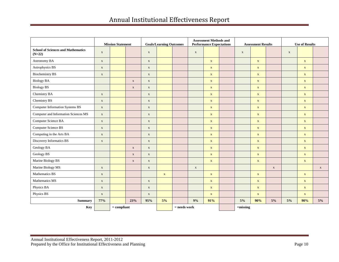|                                                       |              | <b>Mission Statement</b> |              | <b>Goals/Learning Outcomes</b> |             |  | <b>Assessment Methods and</b><br><b>Performance Expectations</b> |              |  | <b>Assessment Results</b> |              |              | <b>Use of Results</b> |              |             |  |
|-------------------------------------------------------|--------------|--------------------------|--------------|--------------------------------|-------------|--|------------------------------------------------------------------|--------------|--|---------------------------|--------------|--------------|-----------------------|--------------|-------------|--|
| <b>School of Sciences and Mathematics</b><br>$(N=22)$ | $\mathbf X$  |                          |              | $\mathbf X$                    |             |  | $\mathbf X$                                                      |              |  | $\mathbf X$               |              |              | $\mathbf X$           |              |             |  |
| Astronomy BA                                          | $\mathbf X$  |                          |              | $\mathbf X$                    |             |  |                                                                  | $\mathbf X$  |  |                           | $\mathbf X$  |              |                       | $\mathbf{X}$ |             |  |
| Astrophysics BS                                       | $\mathbf X$  |                          |              | $\mathbf X$                    |             |  |                                                                  | $\mathbf X$  |  |                           | $\mathbf{X}$ |              |                       | $\mathbf{X}$ |             |  |
| <b>Biochemistry BS</b>                                | $\mathbf X$  |                          |              | $\mathbf X$                    |             |  |                                                                  | $\mathbf{X}$ |  |                           | $\mathbf{X}$ |              |                       | $\mathbf{X}$ |             |  |
| <b>Biology BA</b>                                     |              |                          | $\mathbf X$  | $\mathbf X$                    |             |  |                                                                  | $\mathbf X$  |  |                           | $\mathbf X$  |              |                       | $\mathbf X$  |             |  |
| <b>Biology BS</b>                                     |              |                          | $\mathbf{X}$ | $\mathbf X$                    |             |  |                                                                  | $\mathbf X$  |  |                           | $\mathbf X$  |              |                       | $\mathbf{X}$ |             |  |
| Chemistry BA                                          | $\mathbf X$  |                          |              | $\mathbf X$                    |             |  |                                                                  | $\mathbf X$  |  |                           | $\mathbf X$  |              |                       | $\mathbf X$  |             |  |
| Chemistry BS                                          | $\mathbf X$  |                          |              | $\mathbf X$                    |             |  |                                                                  | $\mathbf X$  |  |                           | $\mathbf X$  |              |                       | $\mathbf{X}$ |             |  |
| <b>Computer Information Systems BS</b>                | $\mathbf X$  |                          |              | $\mathbf X$                    |             |  |                                                                  | $\mathbf X$  |  |                           | $\mathbf X$  |              |                       | $\mathbf X$  |             |  |
| Computer and Information Sciences MS                  | $\mathbf X$  |                          |              | $\mathbf X$                    |             |  |                                                                  | $\mathbf X$  |  |                           | $\mathbf X$  |              |                       | $\mathbf{X}$ |             |  |
| Computer Science BA                                   | $\mathbf X$  |                          |              | $\mathbf X$                    |             |  |                                                                  | $\mathbf X$  |  |                           | $\mathbf X$  |              |                       | $\mathbf{X}$ |             |  |
| <b>Computer Science BS</b>                            | $\mathbf{X}$ |                          |              | $\mathbf X$                    |             |  |                                                                  | $\mathbf X$  |  |                           | $\mathbf{X}$ |              |                       | $\mathbf{X}$ |             |  |
| Computing in the Arts BA                              | $\mathbf X$  |                          |              | $\mathbf X$                    |             |  |                                                                  | $\mathbf X$  |  |                           | $\mathbf X$  |              |                       | $\mathbf X$  |             |  |
| Discovery Informatics BS                              | $\mathbf X$  |                          |              | $\mathbf X$                    |             |  |                                                                  | $\mathbf X$  |  |                           | $\mathbf X$  |              |                       | $\mathbf X$  |             |  |
| Geology BA                                            |              |                          | $\mathbf X$  | $\mathbf X$                    |             |  |                                                                  | $\mathbf X$  |  |                           | $\mathbf X$  |              |                       | $\mathbf X$  |             |  |
| Geology BS                                            |              |                          | $\mathbf X$  | $\mathbf X$                    |             |  |                                                                  | $\mathbf X$  |  |                           | $\mathbf X$  |              |                       | $\mathbf X$  |             |  |
| Marine Biology BS                                     |              |                          | $\mathbf X$  | $\mathbf X$                    |             |  |                                                                  | $\mathbf X$  |  |                           | $\mathbf X$  |              |                       | $\mathbf X$  |             |  |
| Marine Biology MS                                     | $\mathbf{X}$ |                          |              | $\mathbf X$                    |             |  | $\mathbf X$                                                      |              |  |                           |              | $\mathbf{X}$ |                       |              | $\mathbf X$ |  |
| Mathematics BS                                        | $\mathbf X$  |                          |              |                                | $\mathbf X$ |  |                                                                  | $\mathbf{X}$ |  |                           | $\mathbf X$  |              |                       | $\mathbf{X}$ |             |  |
| Mathematics MS                                        | $\mathbf X$  |                          |              | $\mathbf X$                    |             |  |                                                                  | $\mathbf X$  |  |                           | $\mathbf X$  |              |                       | $\mathbf X$  |             |  |
| Physics BA                                            | $\mathbf{X}$ |                          |              | $\mathbf X$                    |             |  |                                                                  | $\mathbf{x}$ |  |                           | $\mathbf{X}$ |              |                       | $\mathbf{X}$ |             |  |
| Physics BS                                            | $\mathbf X$  |                          |              | $\mathbf X$                    |             |  |                                                                  | $\mathbf X$  |  |                           | $\mathbf X$  |              |                       | $\mathbf X$  |             |  |
| Summary                                               | 77%          |                          | 23%          | 95%                            | 5%          |  | 9%                                                               | 91%          |  | $5\%$                     | 90%          | $5\%$        | 5%                    | 90%          | 5%          |  |
| Key                                                   |              | $=$ compliant            |              |                                |             |  | $=$ needs work                                                   |              |  | $=$ missing               |              |              |                       |              |             |  |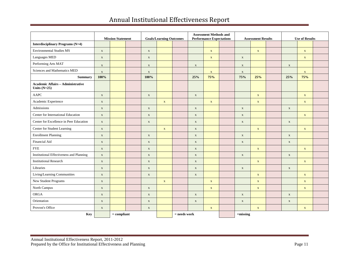|                                                            |              | <b>Mission Statement</b> |               | <b>Goals/Learning Outcomes</b> |             |                | <b>Assessment Methods and</b><br><b>Performance Expectations</b> |             |  | <b>Assessment Results</b> |              |  | <b>Use of Results</b> |              |  |
|------------------------------------------------------------|--------------|--------------------------|---------------|--------------------------------|-------------|----------------|------------------------------------------------------------------|-------------|--|---------------------------|--------------|--|-----------------------|--------------|--|
| <b>Interdisciplinary Programs (N=4)</b>                    |              |                          |               |                                |             |                |                                                                  |             |  |                           |              |  |                       |              |  |
| <b>Environmental Studies MS</b>                            | $\mathbf X$  |                          |               | $\mathbf X$                    |             |                |                                                                  | $\mathbf X$ |  |                           | $\mathbf X$  |  |                       | $\mathbf X$  |  |
| Languages MED                                              | $\mathbf X$  |                          |               | $\mathbf X$                    |             |                |                                                                  | $\mathbf X$ |  | $\mathbf X$               |              |  |                       | $\mathbf X$  |  |
| Performing Arts MAT                                        | $\mathbf X$  |                          |               | $\mathbf X$                    |             |                | $\mathbf X$                                                      |             |  | $\mathbf X$               |              |  | $\mathbf X$           |              |  |
| Sciences and Mathematics MED                               | $\mathbf X$  |                          |               | $\mathbf X$                    |             |                |                                                                  | $\mathbf X$ |  | $\mathbf X$               |              |  |                       | $\mathbf{X}$ |  |
| <b>Summary</b>                                             | 100%         |                          |               | 100%                           |             |                | 25%                                                              | 75%         |  | 75%                       | 25%          |  | 25%                   | 75%          |  |
| <b>Academic Affairs - Administrative</b><br>Units $(N=25)$ |              |                          |               |                                |             |                |                                                                  |             |  |                           |              |  |                       |              |  |
| AAPC                                                       | $\mathbf X$  |                          |               | $\mathbf X$                    |             |                | $\mathbf X$                                                      |             |  |                           | $\mathbf X$  |  |                       | $\mathbf X$  |  |
| Academic Experience                                        | $\mathbf X$  |                          |               |                                | $\mathbf X$ |                |                                                                  | $\mathbf X$ |  |                           | $\mathbf X$  |  |                       | $\mathbf{X}$ |  |
| Admissions                                                 | $\mathbf X$  |                          |               | $\mathbf X$                    |             |                | $\mathbf X$                                                      |             |  | $\mathbf X$               |              |  | $\mathbf{X}$          |              |  |
| Center for International Education                         | $\mathbf X$  |                          |               | $\mathbf X$                    |             |                | $\mathbf X$                                                      |             |  | $\mathbf X$               |              |  |                       | $\mathbf{X}$ |  |
| Center for Excellence in Peer Education                    | $\mathbf X$  |                          |               | $\mathbf X$                    |             |                | $\mathbf X$                                                      |             |  | $\mathbf X$               |              |  | $\mathbf X$           |              |  |
| Center for Student Learning                                | $\mathbf X$  |                          |               |                                | $\mathbf X$ |                | $\mathbf X$                                                      |             |  |                           | $\mathbf X$  |  |                       | $\mathbf X$  |  |
| <b>Enrollment Planning</b>                                 | $\mathbf X$  |                          |               | $\mathbf X$                    |             |                | $\mathbf X$                                                      |             |  | $\mathbf X$               |              |  | $\mathbf X$           |              |  |
| Financial Aid                                              | $\mathbf X$  |                          |               | $\mathbf X$                    |             |                | $\mathbf X$                                                      |             |  | $\mathbf X$               |              |  | $\mathbf X$           |              |  |
| <b>FYE</b>                                                 | $\mathbf X$  |                          |               | $\mathbf X$                    |             |                | $\mathbf X$                                                      |             |  |                           | $\mathbf X$  |  |                       | $\mathbf X$  |  |
| Institutional Effectiveness and Planning                   | $\mathbf X$  |                          |               | $\mathbf X$                    |             |                | $\mathbf X$                                                      |             |  | $\mathbf X$               |              |  | $\mathbf X$           |              |  |
| <b>Institutional Research</b>                              | $\mathbf X$  |                          |               | $\mathbf X$                    |             |                | $\mathbf X$                                                      |             |  |                           | $\mathbf X$  |  |                       | $\mathbf X$  |  |
| Libraries                                                  | $\mathbf X$  |                          |               | $\mathbf X$                    |             |                | $\mathbf X$                                                      |             |  | $\mathbf X$               |              |  | $\mathbf X$           |              |  |
| Living/Learning Communities                                | $\mathbf X$  |                          |               | $\mathbf X$                    |             |                | $\mathbf X$                                                      |             |  |                           | $\mathbf{x}$ |  |                       | $\mathbf{X}$ |  |
| New Student Programs                                       | $\mathbf X$  |                          |               |                                | $\mathbf X$ |                |                                                                  | $\mathbf X$ |  |                           | $\mathbf X$  |  |                       | $\mathbf{X}$ |  |
| North Campus                                               | $\mathbf X$  |                          |               | $\mathbf X$                    |             |                |                                                                  | $\mathbf X$ |  |                           | $\mathbf X$  |  |                       | $\mathbf X$  |  |
| ORGA                                                       | $\mathbf{X}$ |                          |               | $\mathbf X$                    |             |                | $\mathbf X$                                                      |             |  | $\mathbf X$               |              |  | $\mathbf X$           |              |  |
| Orientation                                                | $\mathbf X$  |                          |               | $\mathbf X$                    |             |                | $\mathbf X$                                                      |             |  | $\mathbf X$               |              |  | $\mathbf X$           |              |  |
| Provost's Office                                           | $\mathbf X$  |                          |               | $\mathbf X$                    |             |                |                                                                  | $\mathbf X$ |  |                           | $\mathbf X$  |  |                       | $\mathbf X$  |  |
| Key                                                        |              |                          | $=$ compliant |                                |             | $=$ needs work |                                                                  |             |  | $=$ missing               |              |  |                       |              |  |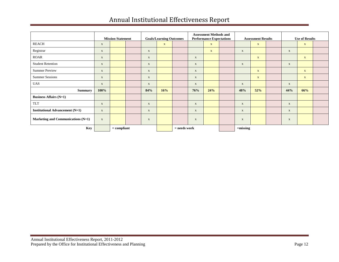|                                        | <b>Mission Statement</b> |               |  | <b>Goals/Learning Outcomes</b> |              |                | <b>Assessment Methods and</b><br><b>Performance Expectations</b> |              |  | <b>Assessment Results</b> |              |  | <b>Use of Results</b> |              |  |
|----------------------------------------|--------------------------|---------------|--|--------------------------------|--------------|----------------|------------------------------------------------------------------|--------------|--|---------------------------|--------------|--|-----------------------|--------------|--|
| <b>REACH</b>                           | $\mathbf X$              |               |  |                                | $\mathbf{X}$ |                |                                                                  | $\mathbf{X}$ |  |                           | $\mathbf X$  |  |                       | $\mathbf{X}$ |  |
| Registrar                              | $\mathbf X$              |               |  | $\mathbf X$                    |              |                |                                                                  | $\mathbf{X}$ |  | $\mathbf{X}$              |              |  | $\mathbf{X}$          |              |  |
| <b>ROAR</b>                            | $\mathbf X$              |               |  | $\mathbf{x}$                   |              |                | $\mathbf X$                                                      |              |  |                           | $\mathbf{X}$ |  |                       | $\mathbf{X}$ |  |
| <b>Student Retention</b>               | $\mathbf X$              |               |  | $\mathbf X$                    |              |                | $\mathbf X$                                                      |              |  | $\mathbf{X}$              |              |  | $\mathbf{X}$          |              |  |
| <b>Summer Preview</b>                  | $\mathbf{X}$             |               |  | $\mathbf{X}$                   |              |                | $\mathbf X$                                                      |              |  |                           | $\mathbf{X}$ |  |                       | $\mathbf{X}$ |  |
| <b>Summer Sessions</b>                 | $\mathbf X$              |               |  | $\mathbf X$                    |              |                | $\mathbf X$                                                      |              |  |                           | $\mathbf{X}$ |  |                       | $\mathbf{X}$ |  |
| <b>UAS</b>                             | $\mathbf X$              |               |  | $\mathbf X$                    |              |                | $\mathbf X$                                                      |              |  | $\mathbf{X}$              |              |  | $\mathbf{X}$          |              |  |
| <b>Summary</b>                         | 100%                     |               |  | 84%                            | 16%          |                | 76%                                                              | 24%          |  | 48%                       | 52%          |  | 44%                   | 66%          |  |
| <b>Business Affairs (N=1)</b>          |                          |               |  |                                |              |                |                                                                  |              |  |                           |              |  |                       |              |  |
| <b>TLT</b>                             | $\mathbf X$              |               |  | $\mathbf X$                    |              |                | $\mathbf X$                                                      |              |  | $\mathbf X$               |              |  | $\mathbf{X}$          |              |  |
| <b>Institutional Advancement (N=1)</b> | $\mathbf{X}$             |               |  | $\mathbf X$                    |              |                | $\mathbf X$                                                      |              |  | $\mathbf{X}$              |              |  | $\mathbf{X}$          |              |  |
| Marketing and Communications (N=1)     | $\mathbf X$              |               |  | X                              |              |                | $\mathbf X$                                                      |              |  | $\mathbf X$               |              |  | $\mathbf X$           |              |  |
| <b>Key</b>                             |                          | $=$ compliant |  |                                |              | $=$ needs work |                                                                  |              |  | $=$ missing               |              |  |                       |              |  |